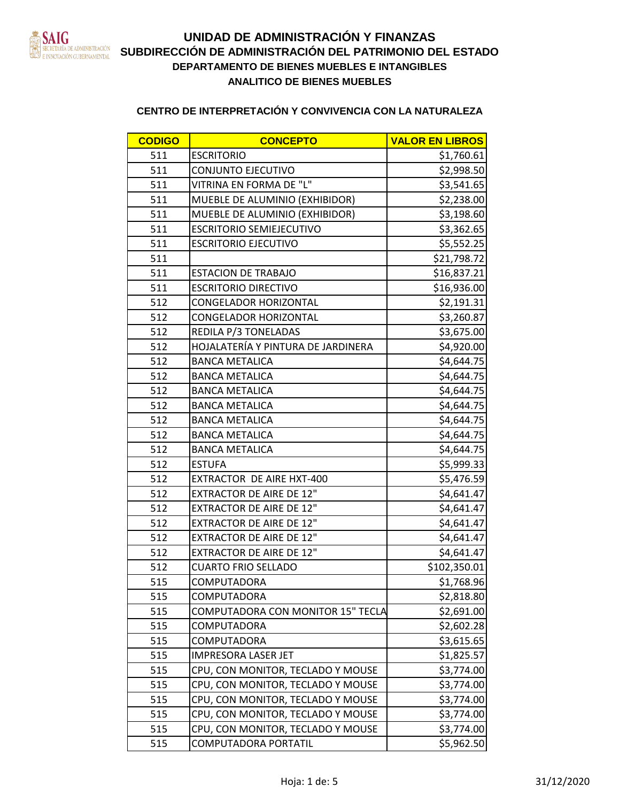

| <b>CODIGO</b> | <b>CONCEPTO</b>                          | <b>VALOR EN LIBROS</b> |
|---------------|------------------------------------------|------------------------|
| 511           | <b>ESCRITORIO</b>                        | \$1,760.61             |
| 511           | CONJUNTO EJECUTIVO                       | \$2,998.50             |
| 511           | VITRINA EN FORMA DE "L"                  | \$3,541.65             |
| 511           | MUEBLE DE ALUMINIO (EXHIBIDOR)           | \$2,238.00             |
| 511           | MUEBLE DE ALUMINIO (EXHIBIDOR)           | \$3,198.60             |
| 511           | <b>ESCRITORIO SEMIEJECUTIVO</b>          | \$3,362.65             |
| 511           | <b>ESCRITORIO EJECUTIVO</b>              | \$5,552.25             |
| 511           |                                          | \$21,798.72            |
| 511           | <b>ESTACION DE TRABAJO</b>               | \$16,837.21            |
| 511           | <b>ESCRITORIO DIRECTIVO</b>              | \$16,936.00            |
| 512           | <b>CONGELADOR HORIZONTAL</b>             | \$2,191.31             |
| 512           | <b>CONGELADOR HORIZONTAL</b>             | \$3,260.87             |
| 512           | REDILA P/3 TONELADAS                     | \$3,675.00             |
| 512           | HOJALATERÍA Y PINTURA DE JARDINERA       | \$4,920.00             |
| 512           | <b>BANCA METALICA</b>                    | \$4,644.75             |
| 512           | <b>BANCA METALICA</b>                    | \$4,644.75             |
| 512           | <b>BANCA METALICA</b>                    | \$4,644.75             |
| 512           | <b>BANCA METALICA</b>                    | \$4,644.75             |
| 512           | <b>BANCA METALICA</b>                    | \$4,644.75             |
| 512           | <b>BANCA METALICA</b>                    | \$4,644.75             |
| 512           | <b>BANCA METALICA</b>                    | \$4,644.75             |
| 512           | <b>ESTUFA</b>                            | \$5,999.33             |
| 512           | <b>EXTRACTOR DE AIRE HXT-400</b>         | \$5,476.59             |
| 512           | <b>EXTRACTOR DE AIRE DE 12"</b>          | \$4,641.47             |
| 512           | <b>EXTRACTOR DE AIRE DE 12"</b>          | \$4,641.47             |
| 512           | <b>EXTRACTOR DE AIRE DE 12"</b>          | \$4,641.47             |
| 512           | <b>EXTRACTOR DE AIRE DE 12"</b>          | \$4,641.47             |
| 512           | <b>EXTRACTOR DE AIRE DE 12"</b>          | \$4,641.47             |
| 512           | <b>CUARTO FRIO SELLADO</b>               | \$102,350.01           |
| 515           | <b>COMPUTADORA</b>                       | \$1,768.96             |
| 515           | COMPUTADORA                              | \$2,818.80             |
| 515           | <b>COMPUTADORA CON MONITOR 15" TECLA</b> | \$2,691.00             |
| 515           | COMPUTADORA                              | \$2,602.28             |
| 515           | <b>COMPUTADORA</b>                       | \$3,615.65             |
| 515           | <b>IMPRESORA LASER JET</b>               | \$1,825.57             |
| 515           | CPU, CON MONITOR, TECLADO Y MOUSE        | \$3,774.00             |
| 515           | CPU, CON MONITOR, TECLADO Y MOUSE        | \$3,774.00             |
| 515           | CPU, CON MONITOR, TECLADO Y MOUSE        | \$3,774.00             |
| 515           | CPU, CON MONITOR, TECLADO Y MOUSE        | \$3,774.00             |
| 515           | CPU, CON MONITOR, TECLADO Y MOUSE        | \$3,774.00             |
| 515           | COMPUTADORA PORTATIL                     | \$5,962.50             |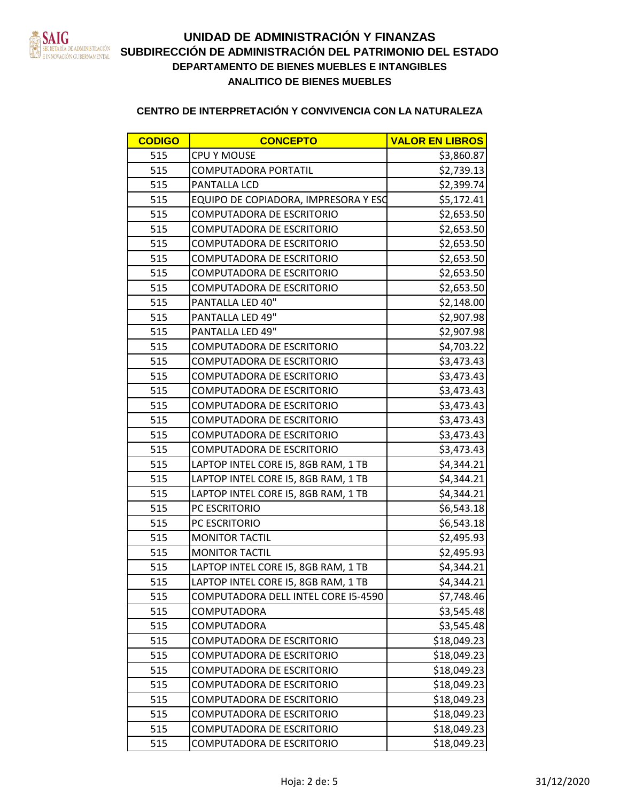

| <b>CODIGO</b> | <b>CONCEPTO</b>                      | <b>VALOR EN LIBROS</b> |
|---------------|--------------------------------------|------------------------|
| 515           | <b>CPU Y MOUSE</b>                   | \$3,860.87             |
| 515           | <b>COMPUTADORA PORTATIL</b>          | \$2,739.13             |
| 515           | PANTALLA LCD                         | \$2,399.74             |
| 515           | EQUIPO DE COPIADORA, IMPRESORA Y ESO | \$5,172.41             |
| 515           | <b>COMPUTADORA DE ESCRITORIO</b>     | \$2,653.50             |
| 515           | COMPUTADORA DE ESCRITORIO            | \$2,653.50             |
| 515           | <b>COMPUTADORA DE ESCRITORIO</b>     | \$2,653.50             |
| 515           | COMPUTADORA DE ESCRITORIO            | \$2,653.50             |
| 515           | <b>COMPUTADORA DE ESCRITORIO</b>     | \$2,653.50             |
| 515           | COMPUTADORA DE ESCRITORIO            | \$2,653.50             |
| 515           | PANTALLA LED 40"                     | \$2,148.00             |
| 515           | PANTALLA LED 49"                     | \$2,907.98             |
| 515           | PANTALLA LED 49"                     | \$2,907.98             |
| 515           | COMPUTADORA DE ESCRITORIO            | \$4,703.22             |
| 515           | <b>COMPUTADORA DE ESCRITORIO</b>     | \$3,473.43             |
| 515           | <b>COMPUTADORA DE ESCRITORIO</b>     | \$3,473.43             |
| 515           | <b>COMPUTADORA DE ESCRITORIO</b>     | \$3,473.43             |
| 515           | <b>COMPUTADORA DE ESCRITORIO</b>     | \$3,473.43             |
| 515           | COMPUTADORA DE ESCRITORIO            | \$3,473.43             |
| 515           | COMPUTADORA DE ESCRITORIO            | \$3,473.43             |
| 515           | <b>COMPUTADORA DE ESCRITORIO</b>     | \$3,473.43             |
| 515           | LAPTOP INTEL CORE 15, 8GB RAM, 1 TB  | \$4,344.21             |
| 515           | LAPTOP INTEL CORE 15, 8GB RAM, 1 TB  | \$4,344.21             |
| 515           | LAPTOP INTEL CORE I5, 8GB RAM, 1 TB  | \$4,344.21             |
| 515           | PC ESCRITORIO                        | \$6,543.18             |
| 515           | PC ESCRITORIO                        | \$6,543.18             |
| 515           | <b>MONITOR TACTIL</b>                | \$2,495.93             |
| 515           | <b>MONITOR TACTIL</b>                | \$2,495.93             |
| 515           | LAPTOP INTEL CORE I5, 8GB RAM, 1 TB  | \$4,344.21             |
| 515           | LAPTOP INTEL CORE I5, 8GB RAM, 1 TB  | \$4,344.21             |
| 515           | COMPUTADORA DELL INTEL CORE I5-4590  | \$7,748.46             |
| 515           | <b>COMPUTADORA</b>                   | \$3,545.48             |
| 515           | <b>COMPUTADORA</b>                   | \$3,545.48             |
| 515           | <b>COMPUTADORA DE ESCRITORIO</b>     | \$18,049.23            |
| 515           | <b>COMPUTADORA DE ESCRITORIO</b>     | \$18,049.23            |
| 515           | <b>COMPUTADORA DE ESCRITORIO</b>     | \$18,049.23            |
| 515           | COMPUTADORA DE ESCRITORIO            | \$18,049.23            |
| 515           | COMPUTADORA DE ESCRITORIO            | \$18,049.23            |
| 515           | <b>COMPUTADORA DE ESCRITORIO</b>     | \$18,049.23            |
| 515           | COMPUTADORA DE ESCRITORIO            | \$18,049.23            |
| 515           | COMPUTADORA DE ESCRITORIO            | \$18,049.23            |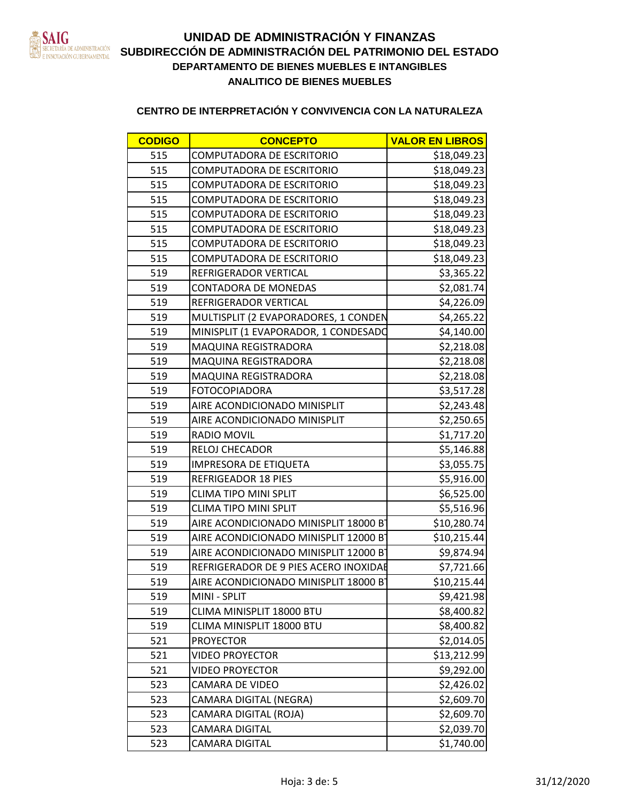

| <b>CODIGO</b> | <b>CONCEPTO</b>                       | <b>VALOR EN LIBROS</b> |
|---------------|---------------------------------------|------------------------|
| 515           | COMPUTADORA DE ESCRITORIO             | \$18,049.23            |
| 515           | COMPUTADORA DE ESCRITORIO             | \$18,049.23            |
| 515           | COMPUTADORA DE ESCRITORIO             | \$18,049.23            |
| 515           | COMPUTADORA DE ESCRITORIO             | \$18,049.23            |
| 515           | COMPUTADORA DE ESCRITORIO             | \$18,049.23            |
| 515           | COMPUTADORA DE ESCRITORIO             | \$18,049.23            |
| 515           | COMPUTADORA DE ESCRITORIO             | \$18,049.23            |
| 515           | COMPUTADORA DE ESCRITORIO             | \$18,049.23            |
| 519           | REFRIGERADOR VERTICAL                 | \$3,365.22             |
| 519           | <b>CONTADORA DE MONEDAS</b>           | \$2,081.74             |
| 519           | REFRIGERADOR VERTICAL                 | \$4,226.09             |
| 519           | MULTISPLIT (2 EVAPORADORES, 1 CONDEN  | \$4,265.22             |
| 519           | MINISPLIT (1 EVAPORADOR, 1 CONDESADO  | \$4,140.00             |
| 519           | MAQUINA REGISTRADORA                  | \$2,218.08             |
| 519           | MAQUINA REGISTRADORA                  | \$2,218.08             |
| 519           | MAQUINA REGISTRADORA                  | \$2,218.08             |
| 519           | <b>FOTOCOPIADORA</b>                  | \$3,517.28             |
| 519           | AIRE ACONDICIONADO MINISPLIT          | \$2,243.48             |
| 519           | AIRE ACONDICIONADO MINISPLIT          | \$2,250.65             |
| 519           | RADIO MOVIL                           | \$1,717.20             |
| 519           | RELOJ CHECADOR                        | \$5,146.88             |
| 519           | IMPRESORA DE ETIQUETA                 | \$3,055.75             |
| 519           | <b>REFRIGEADOR 18 PIES</b>            | \$5,916.00             |
| 519           | <b>CLIMA TIPO MINI SPLIT</b>          | \$6,525.00             |
| 519           | <b>CLIMA TIPO MINI SPLIT</b>          | \$5,516.96             |
| 519           | AIRE ACONDICIONADO MINISPLIT 18000 B  | \$10,280.74            |
| 519           | AIRE ACONDICIONADO MINISPLIT 12000 B  | \$10,215.44            |
| 519           | AIRE ACONDICIONADO MINISPLIT 12000 B  | \$9,874.94             |
| 519           | REFRIGERADOR DE 9 PIES ACERO INOXIDAE | \$7,721.66             |
| 519           | AIRE ACONDICIONADO MINISPLIT 18000 B  | \$10,215.44            |
| 519           | MINI - SPLIT                          | \$9,421.98             |
| 519           | CLIMA MINISPLIT 18000 BTU             | \$8,400.82             |
| 519           | CLIMA MINISPLIT 18000 BTU             | \$8,400.82             |
| 521           | <b>PROYECTOR</b>                      | \$2,014.05             |
| 521           | <b>VIDEO PROYECTOR</b>                | \$13,212.99            |
| 521           | <b>VIDEO PROYECTOR</b>                | \$9,292.00             |
| 523           | <b>CAMARA DE VIDEO</b>                | \$2,426.02             |
| 523           | CAMARA DIGITAL (NEGRA)                | \$2,609.70             |
| 523           | CAMARA DIGITAL (ROJA)                 | \$2,609.70             |
| 523           | CAMARA DIGITAL                        | \$2,039.70             |
| 523           | CAMARA DIGITAL                        | \$1,740.00             |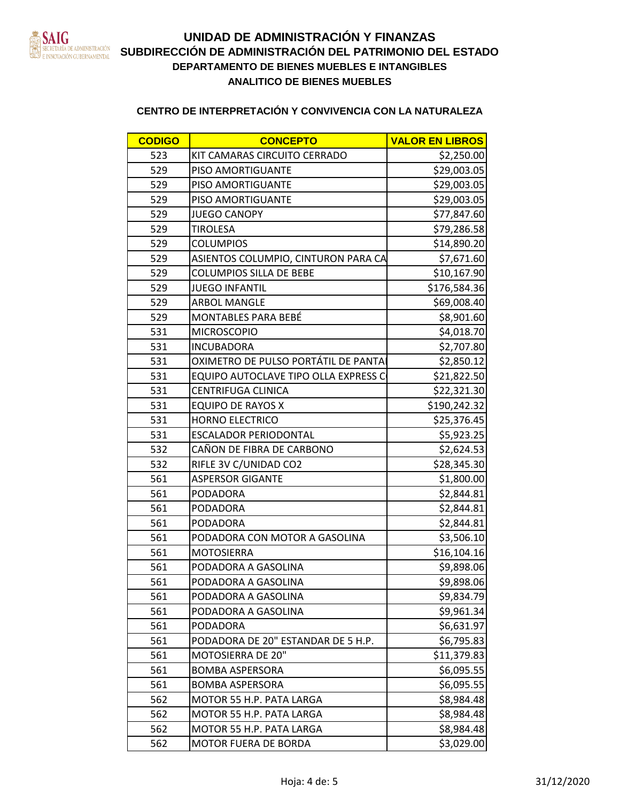

# **DEPARTAMENTO DE BIENES MUEBLES E INTANGIBLES** EN LOCALISTRACIÓN **SUBDIRECCIÓN DE ADMINISTRACIÓN DEL PATRIMONIO DEL ESTADO ANALITICO DE BIENES MUEBLES UNIDAD DE ADMINISTRACIÓN Y FINANZAS**

| <b>CODIGO</b> | <b>CONCEPTO</b>                      | <b>VALOR EN LIBROS</b> |
|---------------|--------------------------------------|------------------------|
| 523           | KIT CAMARAS CIRCUITO CERRADO         | \$2,250.00             |
| 529           | PISO AMORTIGUANTE                    | \$29,003.05            |
| 529           | PISO AMORTIGUANTE                    | \$29,003.05            |
| 529           | PISO AMORTIGUANTE                    | \$29,003.05            |
| 529           | <b>JUEGO CANOPY</b>                  | \$77,847.60            |
| 529           | <b>TIROLESA</b>                      | \$79,286.58            |
| 529           | <b>COLUMPIOS</b>                     | \$14,890.20            |
| 529           | ASIENTOS COLUMPIO, CINTURON PARA CA  | \$7,671.60             |
| 529           | <b>COLUMPIOS SILLA DE BEBE</b>       | \$10,167.90            |
| 529           | <b>JUEGO INFANTIL</b>                | \$176,584.36           |
| 529           | ARBOL MANGLE                         | \$69,008.40            |
| 529           | MONTABLES PARA BEBÉ                  | \$8,901.60             |
| 531           | <b>MICROSCOPIO</b>                   | \$4,018.70             |
| 531           | <b>INCUBADORA</b>                    | \$2,707.80             |
| 531           | OXIMETRO DE PULSO PORTÁTIL DE PANTA  | \$2,850.12             |
| 531           | EQUIPO AUTOCLAVE TIPO OLLA EXPRESS C | \$21,822.50            |
| 531           | <b>CENTRIFUGA CLINICA</b>            | \$22,321.30            |
| 531           | <b>EQUIPO DE RAYOS X</b>             | \$190,242.32           |
| 531           | <b>HORNO ELECTRICO</b>               | \$25,376.45            |
| 531           | <b>ESCALADOR PERIODONTAL</b>         | \$5,923.25             |
| 532           | CAÑON DE FIBRA DE CARBONO            | \$2,624.53             |
| 532           | RIFLE 3V C/UNIDAD CO2                | \$28,345.30            |
| 561           | <b>ASPERSOR GIGANTE</b>              | \$1,800.00             |
| 561           | PODADORA                             | \$2,844.81             |
| 561           | PODADORA                             | \$2,844.81             |
| 561           | PODADORA                             | \$2,844.81             |
| 561           | PODADORA CON MOTOR A GASOLINA        | \$3,506.10             |
| 561           | <b>MOTOSIERRA</b>                    | \$16,104.16            |
| 561           | PODADORA A GASOLINA                  | \$9,898.06             |
| 561           | PODADORA A GASOLINA                  | \$9,898.06             |
| 561           | PODADORA A GASOLINA                  | \$9,834.79             |
| 561           | PODADORA A GASOLINA                  | \$9,961.34             |
| 561           | PODADORA                             | \$6,631.97             |
| 561           | PODADORA DE 20" ESTANDAR DE 5 H.P.   | \$6,795.83             |
| 561           | MOTOSIERRA DE 20"                    | \$11,379.83            |
| 561           | <b>BOMBA ASPERSORA</b>               | \$6,095.55             |
| 561           | <b>BOMBA ASPERSORA</b>               | \$6,095.55             |
| 562           | MOTOR 55 H.P. PATA LARGA             | \$8,984.48             |
| 562           | MOTOR 55 H.P. PATA LARGA             | \$8,984.48             |
| 562           | MOTOR 55 H.P. PATA LARGA             | \$8,984.48             |
| 562           | MOTOR FUERA DE BORDA                 | \$3,029.00             |